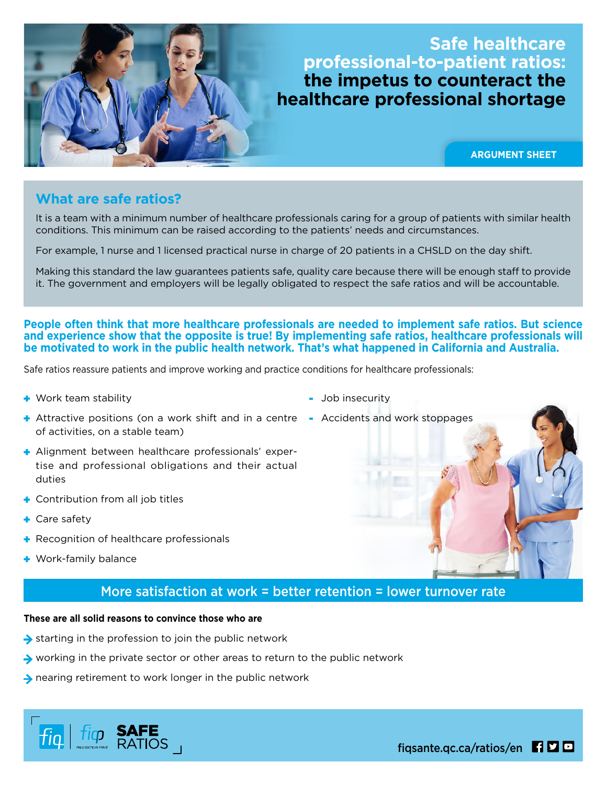## **Safe healthcare professional-to-patient ratios: the impetus to counteract the healthcare professional shortage**

**ARGUMENT SHEET**

### **What are safe ratios?**

It is a team with a minimum number of healthcare professionals caring for a group of patients with similar health conditions. This minimum can be raised according to the patients' needs and circumstances.

For example, 1 nurse and 1 licensed practical nurse in charge of 20 patients in a CHSLD on the day shift.

Making this standard the law guarantees patients safe, quality care because there will be enough staff to provide it. The government and employers will be legally obligated to respect the safe ratios and will be accountable.

**People often think that more healthcare professionals are needed to implement safe ratios. But science and experience show that the opposite is true! By implementing safe ratios, healthcare professionals will be motivated to work in the public health network. That's what happened in California and Australia.**

Safe ratios reassure patients and improve working and practice conditions for healthcare professionals:

**+** Work team stability

- Job insecurity
- Attractive positions (on a work shift and in a centre Accidents and work stoppages of activities, on a stable team)
- Alignment between healthcare professionals' expertise and professional obligations and their actual duties
- **+** Contribution from all job titles
- **+** Care safety
- **+** Recognition of healthcare professionals
- **+** Work-family balance

### More satisfaction at work = better retention = lower turnover rate

### **These are all solid reasons to convince those who are**

- $\rightarrow$  starting in the profession to join the public network
- $\rightarrow$  working in the private sector or other areas to return to the public network
- $\rightarrow$  nearing retirement to work longer in the public network